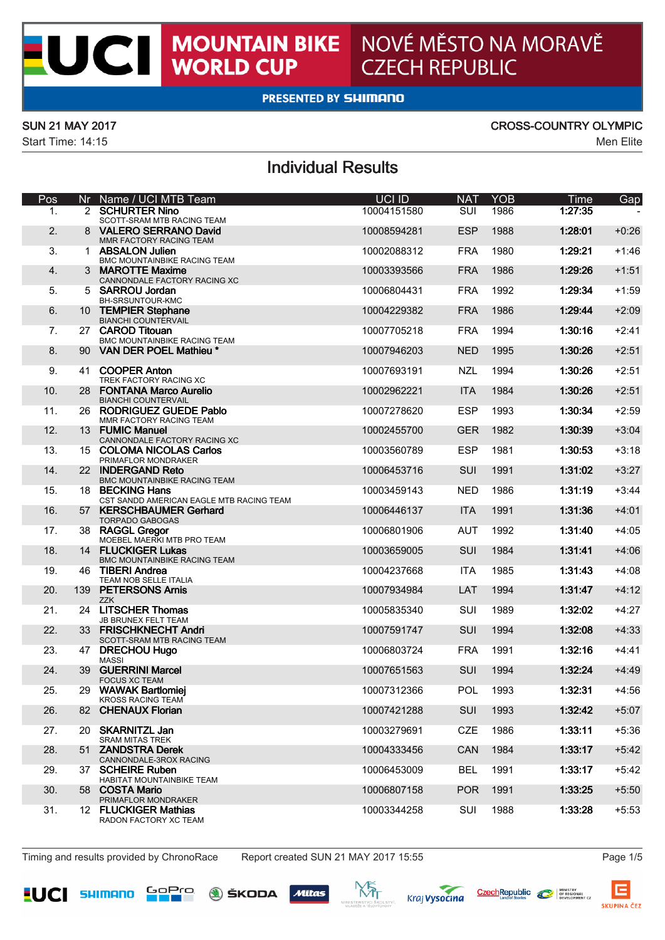$\overline{\mathbf{C}}$ 

Start Time: 14:15 Men Elite

# SUN 21 MAY 2017 CROSS-COUNTRY OLYMPIC<br>Start Time: 14:15

## Individual Results

| Pos              |                 | Nr Name / UCI MTB Team                                              | <b>HOLID</b> | <b>NAT</b> | YOR  | Time         | Gap     |
|------------------|-----------------|---------------------------------------------------------------------|--------------|------------|------|--------------|---------|
| ٠.               |                 | <b>2 SCHURTER N TO</b><br>SCOTT-SRAM MTB RACING TEAM                | 10004151580  | sm         | 1006 | <b>DOM:N</b> |         |
| $\mathcal{P}$    | $\mathbf{R}$    | VALERO SERRANO David<br>MMR FACTORY RACING TEAM                     | 10008594281  | ESP        | 1088 | 12801        | $+0.26$ |
| $\mathbf{a}$     |                 | <b>ABSALON Julien</b>                                               | 10002088312  | <b>FRA</b> | 1980 | 1:29:21      | $+1.46$ |
| $\overline{a}$   | $\mathbf{R}$    | BMC MOUNTAINBIKE RACING TEAM<br>MAROTTE Maxime                      | 10003393566  | <b>FRA</b> | 1986 | 1:29:26      | $+1.51$ |
| к.               |                 | CANNONDALE FACTORY RACING XC<br>5 SARROU Jontan                     | 10006804431  | <b>FRA</b> | 1992 | 12934        | $+1.59$ |
| A.               |                 | BH-SRSUNTOUR-KMC<br>10 TEMPIER Stephane                             | 10004229382  | <b>FRA</b> | 1986 | 12944        | $+2.09$ |
| 7.               | 27              | BIANCHI COUNTERVAIL<br><b>CAROD Titouan</b>                         | 10007705218  | <b>FRA</b> | 1004 | 1:30:16      | $+2:41$ |
| $\mathbf{R}$     |                 | BMC MOUNTAINBIKE RACING TEAM<br>90 VAN DER POEL Mathieu             | 10007946203  | <b>NFD</b> | 1005 | 1:30:26      | $+2.51$ |
|                  |                 |                                                                     |              |            |      |              |         |
| ۰                | 41              | <b>COOPER Anton</b><br>TREK FACTORY RACING XC                       | 10007893191  | NZ1        | 1004 | 1:30:26      | $+2.51$ |
| 10 <sub>1</sub>  | 28              | <b>FONTANA Marro Aurelio</b><br>BIANCHI COUNTERVAIL                 | 10002962221  | <b>ITA</b> | 1984 | 1:30:26      | $+2.51$ |
| 11               |                 | 26 RODRIGUEZ GUEDE Pablo<br>MMP EACTORY RACING TEAM                 | 10007278620  | ESP        | 1993 | 12024        | $+2.59$ |
| 12 <sup>12</sup> |                 | 13 FUMIC Manuel<br>CANNONDALE FACTORY RACING XC                     | 10002455700  | GFR        | 1982 | 1:30:39      | $+3,04$ |
| 13 <sup>7</sup>  |                 | 15 COLOMA NICOLAS Carlos<br><b>DOMAIN OR MONTGAKED</b>              | 10003560789  | ESP        | 1981 | 1:30:53      | $+3.18$ |
| 14               |                 | 22 INDERGAND Reto                                                   | 10006453716  | SIII       | 1991 | 131:02       | $+3.27$ |
| 15               | 18              | BMC MOUNTAINBIKE RACING TEAM<br><b>RECKING Hope</b>                 | 10003459143  | NFD        | 1986 | 1:31:19      | $+3:44$ |
| 16               |                 | CST SANDO AMERICAN EAGLE MTB RACING TEAM<br>57 KERSCHRAUMER Gerhard | 10006446137  | <b>ITA</b> | 1991 | 12126        | $+4.01$ |
| 17.              |                 | TORPADO GABOGAS<br>38 RAGGL Great                                   | 10006801906  | ALIT       | 1992 | 1:31:40      | $+4.05$ |
| 18               |                 | MOESEL MAERIC MTB PRO TEAM<br>14 FLUCKHRER Lukas                    | 10003659005  | SIII       | 1984 | 121:41       | $+4.06$ |
| 19               | 46              | BMC MOUNTAINBIKE RACING TEAM<br><b>TIBERI Andrea</b>                | 10004237668  | <b>ITA</b> | 1985 | 1:31:43      | $+4:08$ |
|                  |                 | TEAM NOB SELLE ITALIA                                               |              |            |      |              |         |
| 20 <sup>1</sup>  |                 | 139 PETERSONS Amis<br>ZZK                                           | 10007934984  | LAT.       | 1004 | 121:47       | $+4:12$ |
| 21               |                 | 24 LITSCHER Thomas<br>JB BRUNEX FELT TEAM                           | 10005835340  | SHI        | 1989 | 1:32:02      | $+4.27$ |
| $\mathfrak{D}$   |                 | 33 FRISCHIONECHT Andel<br>SCOTT-SRAM MTB RACING TEAM                | 10007591747  | SUL        | 1004 | 1:32:08      | $+4.33$ |
| 23               |                 | 47 DRECHOU Hugo<br>MASS                                             | 10006803724  | <b>FRA</b> | 1991 | 1:32:16      | $+4.41$ |
| 24               |                 | 39 GUERRINI Mamel<br>FOCUS XC TEAM                                  | 10007651563  | SUL        | 1004 | 1:32:24      | $+4.49$ |
| 25               | 29              | <b>WAYONK Bartiomiei</b><br>KROSS RACING TEAM                       | 10007312366  | <b>POL</b> | 1993 | 1:32:31      | $+4.56$ |
| 26               |                 | 82 CHENAID Finden                                                   | 10007421288  | SUL        | 1993 | 13242        | $+5.07$ |
| 27               | 20 <sub>1</sub> | SKARNITZL Jan                                                       | 10003279691  | CZE        | 1986 | 12311        | $+5:36$ |
| 28               |                 | SRAM MITAS TREK<br>51 ZANDSTRA Derek                                | 10004333456  | CAN        | 1984 | 12317        | $+5.42$ |
| 29               |                 | CANNONDALE-3ROX RACING<br>37 SCHEIBE Buhen                          | 10006453009  | <b>RFI</b> | 1001 | 1:33:17      | $+5:42$ |
| 30 <sub>1</sub>  | <b>FR</b>       | HARITAT MOUNTAINBAC TEAM<br>CORTA Mario                             |              | <b>POR</b> | 1991 | 1:33:25      | $+5.50$ |
|                  |                 | PRIMAFLOR MONDRAKER                                                 | 10006807158  |            |      |              |         |
| 31               | 12 <sub>1</sub> | <b>FLUCKIGER Mathias</b><br>RADON FACTORY XC TEAM                   | 10003344258  | SUIL       | 1088 | 1:33-28      | $+5.53$ |

Timing and results provided by ChronoRace Report created SUN 21 MAY 2017 15:55 Page 1/5









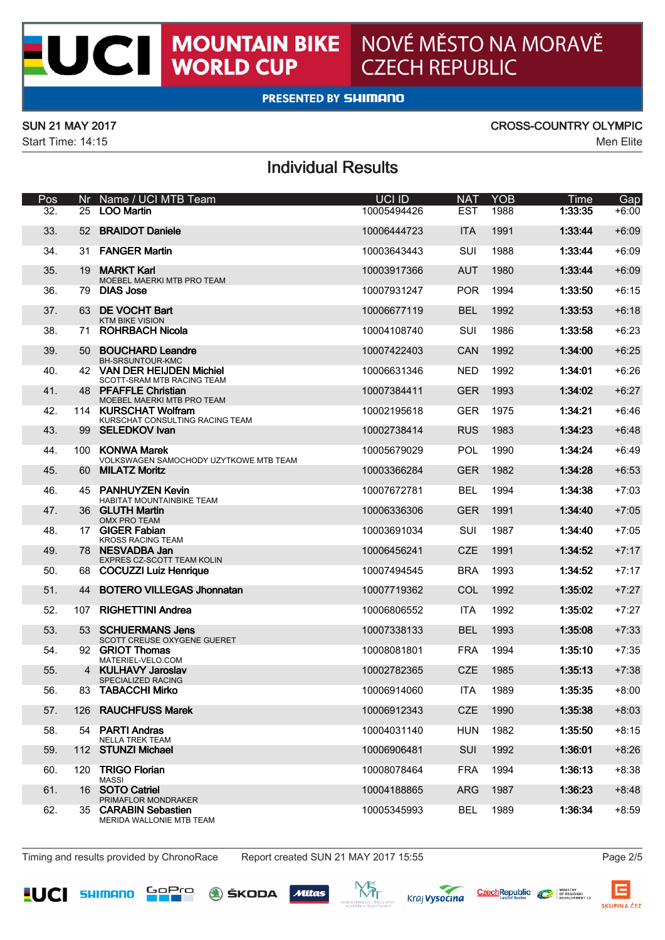$\overline{\mathbf{C}}$ 

Start Time: 14:15 Men Elite

# SUN 21 MAY 2017 CROSS-COUNTRY OLYMPIC<br>Start Time: 14:15

## Individual Results

| Pos    |                 | Nr Name / UCI MTB Team                                                           | <b>HOLID</b> | <b>NAT</b> | YOR   | Time           | Gan     |
|--------|-----------------|----------------------------------------------------------------------------------|--------------|------------|-------|----------------|---------|
| ×,     |                 | 25 100 Martin                                                                    | 10005494426  | FST        | 1008  | <b>ERRORIS</b> | $+6.00$ |
| 23     | R2              | <b>RRAIDOT Daniele</b>                                                           | 10006444723  | <b>ITA</b> | 1001  | 12244          | $+6.09$ |
| 34     | 31              | <b>FAMER Made</b>                                                                | 10003643443  | SUI        | 1088  | 12344          | $+6.09$ |
| 35     | 19              | MARKT Karl<br>MOESEL MAERIC MTB PRO TEAM                                         | 10003917366  | ALIT       | 1980  | 12244          | $+6.09$ |
| 36     |                 | 70 DMS Jose                                                                      | 10007931247  | POR        | 1004  | 1:33:50        | $+6.15$ |
| 37     | 63              | DE VOCHT Rad<br>KTM BIKE VISION                                                  | 10006677119  | <b>RFI</b> | 1992  | 1:33:53        | $+6.18$ |
| 28     | 71              | <b>ROHRRACH Minds</b>                                                            | 10004108740  | SHI        | 1986  | 1:33:58        | $+6.23$ |
| 39     | RO.             | <b>BOUCHARD Leandre</b><br>BH-SRSUNTOUR-KMC                                      | 10007422403  | CAN        | 1992  | 1:34:00        | $+6.25$ |
| 40     | 42              | <b>VAN DER HELIDEN Michiel</b>                                                   | 10006631346  | NFD        | 1992  | 13401          | +6:26   |
| 41     |                 | SCOTT-SRAM MTB RACING TEAM<br>48 PFAFFLE Christian<br>MOESEL MAERIC MTB PRO TEAM | 10007384411  | <b>GFR</b> | 1993  | 1:34:02        | $+6.27$ |
| 42     |                 | 114 KURSCHAT Wolfram<br>KLIDSCHAT CONSULTING BACING TEAM                         | 10002195618  | GFR        | 1975  | 1:34:21        | $+6.46$ |
| 43     |                 | 99 SELEDKOV Ivan                                                                 | 10002738414  | <b>RUS</b> | 1983  | 1:34:23        | $+6.48$ |
| 44     |                 | 100 KCMWA Morek<br>VOLKSWAGEN SAMOCHODY LOYDOVIAT MTB TEAM                       | 10005679029  | <b>POL</b> | 1990  | 1:34:24        | $+6.49$ |
| $45 -$ |                 | 60 MILATZ Moritz                                                                 | 10003366284  | GFR        | 1982  | 1:34:28        | $+6.53$ |
| 46     |                 | 45 PANHI IVZEN Kevin<br>HABITAT MOUNTAINBIKE TEAM                                | 10007672781  | <b>RFI</b> | 1004  | 1:34:38        | $+7:03$ |
| 47     | 36 <sub>1</sub> | <b>GLUTH Martin</b>                                                              | 10006336306  | <b>GFR</b> | 1991  | 1:34:40        | $+7.05$ |
| 48     |                 | OMY DRO TEAM<br>17 GIGER Fahlan                                                  | 10003691034  | SHI        | 1987  | 1:34:40        | $+7.05$ |
| 49     |                 | KROSS RACING TEAM<br>78 MERVADRA Jan                                             | 10006456241  | CZE        | 1991  | 1:34:52        | $+7:17$ |
| 50.    | <b>AR</b>       | EXPRES CZ-SCOTT TEAM KOLIN<br>COCUZZI Luiz Henrique                              | 10007494545  | <b>RRA</b> | 1993  | 1:34:52        | $+7:17$ |
| 51     | 44              | <b>BOTERO VII I FRAS Jhonnaton</b>                                               | 10007719362  | COL.       | 1992  | 1:35:02        | $+7.27$ |
| 52     | 107             | <b>RIGHETTING Andrea</b>                                                         | 10006806552  | <b>ITA</b> | 1992  | 1:35:02        | $+7.27$ |
| 53     | 53              | SCHUERMANS Jens                                                                  | 10007338133  | <b>RFI</b> | 1993  | 1:35:08        | $+7.33$ |
| 54     |                 | SCOTT CREUSE CXYGENE GUERET<br>92 GRIOT Thomas<br>MATERIEL ARL O COM             | 10008081801  | <b>FRA</b> | 1004  | 1:35:10        | $+7.35$ |
| 55     |                 | 4 KI II HAVY Jamslav                                                             | 10002782365  | CZE        | 1085  | 1:35:13        | $+7.38$ |
| 56     | 83.             | SPECIALIZED RACING<br><b>TARACCHI Midin</b>                                      | 10006914060  | <b>ITA</b> | 1080  | 1:35:35        | $+8.00$ |
| 57     | 126             | RAUCHFUSS Marek                                                                  | 10006912343  | CZE        | 1990  | 1:35:38        | $+8.03$ |
| FR.    | 54              | <b>PARTI Andres</b>                                                              | 10004031140  | <b>HIN</b> | 1982  | 1:35:50        | $+8.15$ |
| R9     |                 | NELLA TREX TEAM<br>112 STUNZI Michael                                            | 10006906481  | SIII       | 1992  | 12601          | $+8.26$ |
| 60.    | 120             | <b>TRIGO Finder</b>                                                              | 10008078464  | <b>FRA</b> | 100.4 | 1:36:13        | $+8.38$ |
| 61     | 16              | MASS<br><b>SOTO Catrici</b>                                                      | 10004188865  | <b>ARG</b> | 1987  | 1:36:23        | $+8.48$ |
| 62     | 35              | PRIMAFLOR MONDRANER<br><b>CARABIN Sebastien</b><br>MERIDA WALLONE MTB TEAM       | 10005345993  | <b>RFI</b> | 1080  | 1:36:34        | $+8.59$ |

Timing and results provided by ChronoRace Report created SUN 21 MAY 2017 15:55 Page 2/5









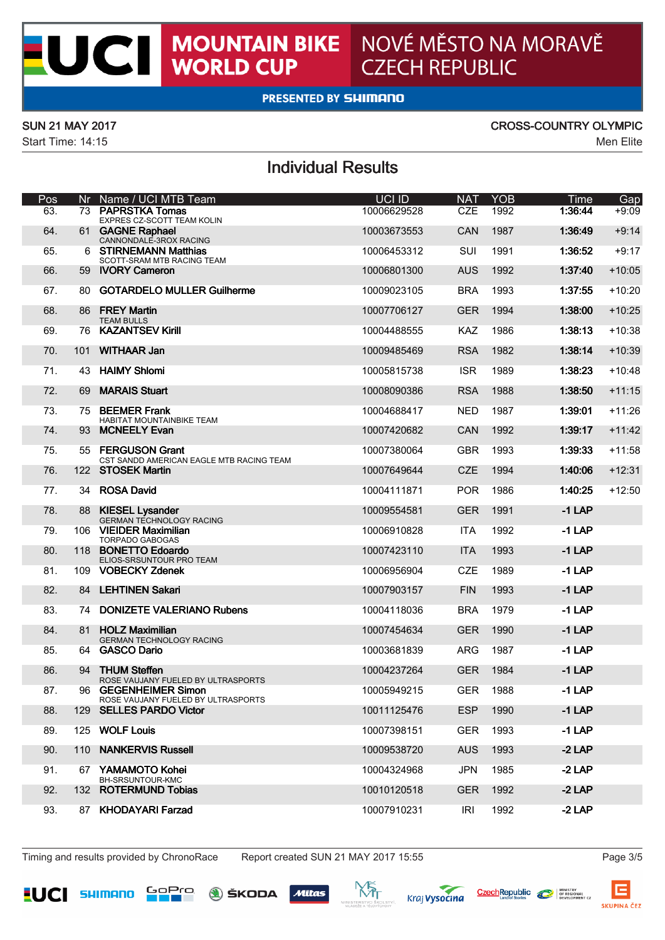$\overline{\mathbf{C}}$ 

Start Time: 14:15 Men Elite

# SUN 21 MAY 2017 CROSS-COUNTRY OLYMPIC<br>Start Time: 14:15

## Individual Results

| Pos             |                  | Nr Name / UCI MTB Team                                          | UCI ID      | <b>NAT</b> | YOR  | Time     | Gap      |
|-----------------|------------------|-----------------------------------------------------------------|-------------|------------|------|----------|----------|
| R.              |                  | <b>WE DISCUSSION &amp; CONTRA</b><br>EXPRES CZ-SCOTT TEAM KOLIN | 10006629528 | CZE        | 1992 | 12.71    | ∙क्तर    |
| FA              |                  | 61 GAGNE Raphael<br>CANNONDALE-3ROX RACING                      | 10003673553 | CAN        | 1987 | 1:36:49  | $+9.14$  |
| 65              |                  | 6 STIRNEMANN Matthias<br>SCOTT-SRAM MTB RACING TEAM             | 10006453312 | SUIL       | 1001 | 1:36:52  | $+0.17$  |
| F6              | R9               | <b>NORY Cameron</b>                                             | 10006801300 | ALIS.      | 1992 | 127.40   | $+10.05$ |
| 67              | 80               | GOTARDELO MULLER Guilherme                                      | 10009023105 | <b>RRA</b> | 1993 | 1:37:55  | $+10.20$ |
| 68.             | <b>RR</b>        | <b>FREY Martin</b><br>TEAM BULLS                                | 10007708127 | <b>GER</b> | 1004 | 1:38:00  | $+10.25$ |
| 69              | 76               | <b>KAZANTREV KHI</b>                                            | 10004488555 | KAZ        | 1986 | 1:38:13  | $+10.38$ |
| $\pi$           | 101              | WITHAAR Jon                                                     | 10009485469 | <b>RSA</b> | 1982 | 1:38:14  | $+10.39$ |
| 71              | 43               | <b>HAIMY Shingi</b>                                             | 10005815738 | <b>ISR</b> | 1080 | 1:38:23  | $+10.48$ |
| 72              | BQ               | MARAIS Shurt                                                    | 10008090386 | <b>RSA</b> | 1988 | 1:38:50  | $+11:15$ |
| 73.             |                  | 75 BEEMER Frank<br>HABITAT MOUNTAINBIKE TEAM                    | 10004688417 | NFD        | 1987 | 1:39:01  | $+11.26$ |
| 74              | 93               | <b>MCNEELY Evan</b>                                             | 10007420682 | CAN        | 1992 | 1:39:17  | $+11:42$ |
| 75              |                  | 55 FERGURON Grant<br>CST SANDO AMERICAN DAGIE MTS PACING TEAM   | 10007380064 | GRR        | 1993 | 1:39:33  | $+11.58$ |
| 76              |                  | 122 STORFK Martin                                               | 10007649644 | CZE        | 1004 | 1:40:06  | $+12.31$ |
| $\pi$ .         |                  | 34 ROSA David                                                   | 10004111871 | <b>POR</b> | 1986 | 1:40:25  | $+12:50$ |
| 78              |                  | 88 KIESEL Lysander<br>GERMAN TECHNOLOGY RADING                  | 10009554581 | GFR        | 1991 | $-11AP$  |          |
| 79              |                  | 106 VIEWER Maximilian<br>TORRADO GAROGAS                        | 10006910828 | <b>ITA</b> | 1992 | $-11AP$  |          |
| 80 <sup>1</sup> |                  | 118 BONETTO Edgardo<br>ELIOS-SRSUNTOUR PRO TEAM                 | 10007423110 | <b>ITA</b> | 1993 | $-1$ LAP |          |
| 81              |                  | 109 VOBECKY Zdenek                                              | 10006956904 | CZE        | 1989 | $-1$ LAP |          |
| 82              | <b>R4</b>        | <b>I FHTINFM Sakari</b>                                         | 10007903157 | <b>FIN</b> | 1993 | $-1$ LAP |          |
| 83              | 74               | <b>DONIZETE VALERIANO Rubens</b>                                | 10004118036 | <b>RRA</b> | 1979 | $-11AP$  |          |
| R <sub>4</sub>  | R1               | <b>HOLZ Maximilian</b><br>GERMAN TECHNOLOGY RADING              | 10007454634 | GFR        | 1990 | $-1$ LAP |          |
| 85              | 64               | <b>GASCO Dario</b>                                              | 10003681839 | ARG.       | 1987 | $-1$ LAP |          |
| 86              |                  | <b>G4 THI BA Stellen</b><br>ROSE VALUANY FUELED BY ULTRASPORTS  | 10004237264 | GFR        | 1984 | $-11AP$  |          |
| 87              | GR.              | <b>GEGENHEIMER Simon</b><br>ROSE VALUANY FUELED BY ULTRASPORTS  | 10005949215 | <b>GFR</b> | 1988 | $-1$ LAP |          |
| 88              | 129 <sub>0</sub> | <b>SELLES PARDO Victor</b>                                      | 10011125476 | ESP        | 1990 | $-11AP$  |          |
| 89              | 125              | WOLF Louis                                                      | 10007398151 | GFR        | 1993 | $-11AP$  |          |
| on.             | 110              | <b>NANKFRWR Russell</b>                                         | 10009538720 | A115       | 1993 | 21AP     |          |
| 91              | 67               | Valuation Kebsi<br>DALCO INTO IRANO                             | 10004324968 | <b>JPN</b> | 1085 | $-2$ LAP |          |
| 92              |                  | 132 ROTERMUND Tobias                                            | 10010120518 | <b>GFR</b> | 1992 | 21AP     |          |
| $\alpha$        | 87               | <b>KHODAYARI Farzad</b>                                         | 10007910231 | IR1        | 1992 | 21AP     |          |

Timing and results provided by ChronoRace Report created SUN 21 MAY 2017 15:55 Page 3/5









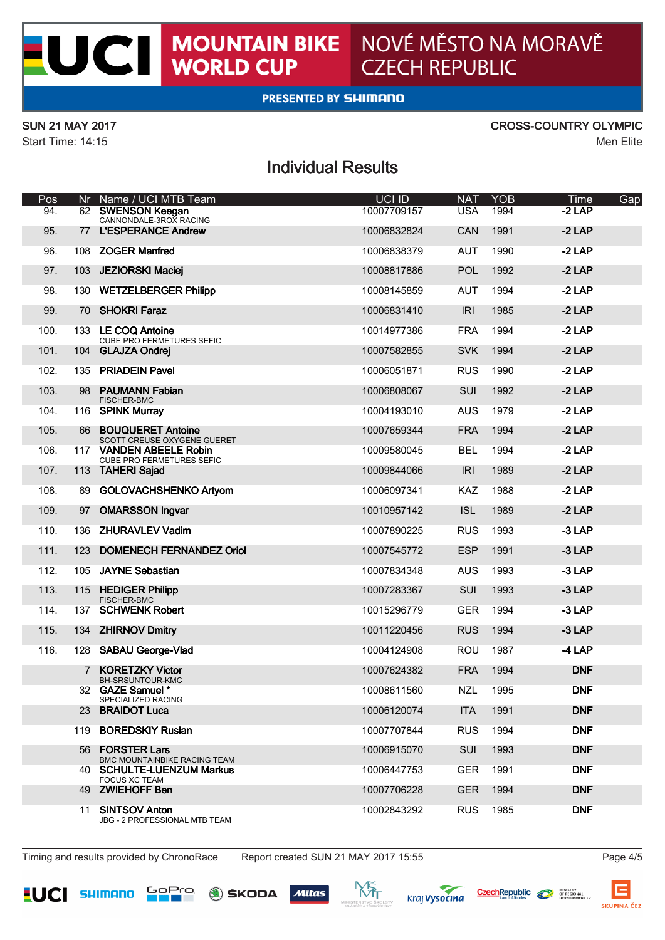$\overline{\mathbf{C}}$ 

Start Time: 14:15 Men Elite

# SUN 21 MAY 2017 CROSS-COUNTRY OLYMPIC<br>Start Time: 14:15

## Individual Results

| Pos       |                | Nr Name / UCI MTB Team                                  | UCI ID      | <b>NAT</b>  | YOR  | Gap<br>Time |
|-----------|----------------|---------------------------------------------------------|-------------|-------------|------|-------------|
| ∝         |                | 62 B.W. BN 2011 KORean<br>CANNONDALE-3ROX RACING        | 10007709157 | USA         | 1004 | -2 LAP      |
| 95        | 77             | <b>L'ESPERANCE Andrew</b>                               | 10006832824 | CAN         | 1991 | $-2$ LAP    |
| 96        |                | 108 ZOGER Manfred                                       | 10006838379 | <b>ALIT</b> | 1990 | $-2$ LAP    |
| 97        | 103            | <b>JEZIORSKI Maciel</b>                                 | 10008817886 | <b>POL</b>  | 1992 | $-2LP$      |
| GR.       | 130            | <b>WETZELBERGER Philto</b>                              | 10008145859 | ALIT        | 1004 | 21AP        |
| <b>GG</b> | 70             | <b>SHOKRI Faraz</b>                                     | 10006831410 | IRI         | 1985 | $-2$ LAP    |
| $100 -$   |                | 133 LE COO Antoine<br>CUBE PRO FERMETURES SEFIC         | 10014977386 | <b>FRA</b>  | 1004 | $-2LP$      |
| 101       |                | 104 GLAJZA Ondrei                                       | 10007582855 | <b>SVK</b>  | 1994 | $-2$ LAP    |
| 102       |                | 135 PRIADEIN Pavel                                      | 10006051871 | <b>RUS</b>  | 1990 | $-2$ LAP    |
| 103.      | <b>QR</b>      | PAUMANN Fabian<br><b>FISCHER-BMC</b>                    | 10006808067 | SUI         | 1992 | $-2$ LAP    |
| 104       |                | 116 SPINK Muntay                                        | 10004193010 | ALIS.       | 1979 | 21AP        |
| 105       | <b>AR</b>      | <b>BOUQUERET Antoine</b><br>SCOTT CREUSE CXYGENE GUERET | 10007659344 | <b>FRA</b>  | 1994 | $-2LP$      |
| 106       |                | 117 VANDEN AREELE Robin<br>CUBE PRO FERMETURES SEFIC    | 10009580045 | <b>RFI</b>  | 1004 | 21AP        |
| 107       |                | 113 TAHERI Salad                                        | 10009844066 | IRI         | 1989 | 21AP        |
| 108       | 89             | GOLOVACHSHENKO Artvom                                   | 10006097341 | KAZ         | 1088 | $-2$ LAP    |
| 109.      | 97             | <b>OMARSSON Increar</b>                                 | 10010957142 | ISL         | 1080 | $-2$ LAP    |
| 110.      | 136            | <b>ZHURAMLEV Vadim</b>                                  | 10007890225 | <b>RUS</b>  | 1993 | -3 LAP      |
| 111       | 123            | <b>DOMENECH FERNANDEZ Oriol</b>                         | 10007545772 | ESP         | 1991 | $-3$ LAP    |
| 112       | 105            | <b>JAYNE Sebastian</b>                                  | 10007834348 | ALIS.       | 1993 | $-3LP$      |
| 113       |                | 115 HEDIGER Philipp<br><b>FISCHER-BMC</b>               | 10007283367 | S11         | 1993 | 31AP        |
| 114       | 137            | <b>SCHWFMK Robert</b>                                   | 10015296779 | GFR         | 1004 | $-3LP$      |
| 115       | 134            | <b>ZHIRMOV Dmitry</b>                                   | 10011220456 | <b>RUS</b>  | 1004 | $-3$ LAP    |
| 116.      |                | 128 SABAU George Viad                                   | 10004124908 | <b>BOU</b>  | 1987 | 41AP        |
|           | $\overline{z}$ | <b>KORETZKY Violer</b><br>BH-SRSUNTOUR-KMC              | 10007624382 | <b>FRA</b>  | 1004 | <b>DMF</b>  |
|           |                | 32 GAZE Samuel<br>SPECIALIZED BACING                    | 10008611560 | NZ1         | 1995 | <b>DMF</b>  |
|           |                | 23 BRAIDOT Luce                                         | 10006120074 | <b>ITA</b>  | 1991 | <b>DMF</b>  |
|           |                | 119 ROBEDSKIY Ruslan                                    | 10007707844 | <b>RUS</b>  | 1994 | <b>DMF</b>  |
|           |                | <b>56 FORSTER Larg</b><br>BMC MOUNTAINBIKE RACING TEAM  | 10006915070 | SIII        | 1993 | <b>DMF</b>  |
|           |                | 40 SCHULTE-LUENZUM Markus                               | 10006447753 | GER         | 1001 | <b>DMF</b>  |
|           |                | DOOLIS VO TEAM<br>49 ZWIEHOFF Ben                       | 10007706228 | <b>GFR</b>  | 1004 | <b>DMF</b>  |
|           | 11             | <b>SINTSOV Anton</b><br>JBG - 2 PROFESSIONAL MTB TEAM   | 10002843292 | RUS.        | 1085 | <b>DMF</b>  |

Timing and results provided by ChronoRace Report created SUN 21 MAY 2017 15:55 Page 4/5